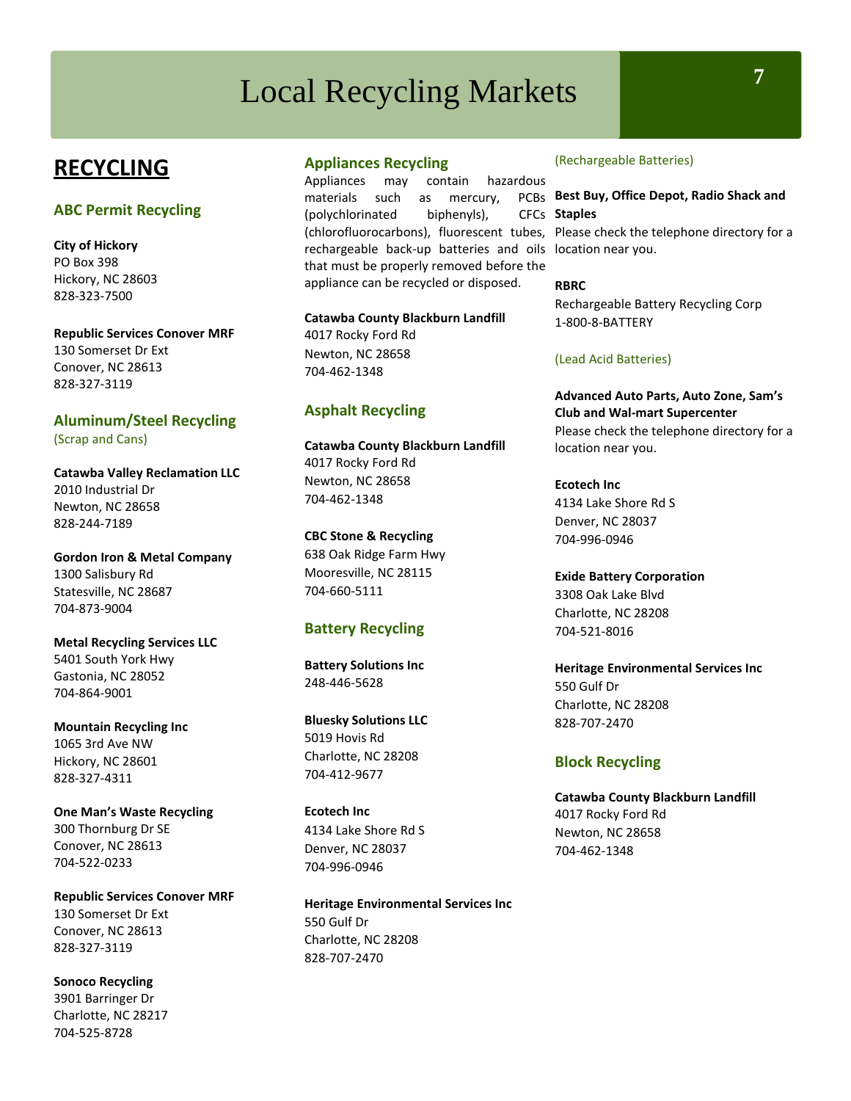# Local Recycling Markets **<sup>7</sup>**

## **RECYCLING**

#### **ABC Permit Recycling**

**City of Hickory** PO Box 398 Hickory, NC 28603 828-323-7500

**Republic Services Conover MRF** 130 Somerset Dr Ext Conover, NC 28613 828-327-3119

**Aluminum/Steel Recycling** (Scrap and Cans)

**Catawba Valley Reclamation LLC** 2010 Industrial Dr Newton, NC 28658 828-244-7189

**Gordon Iron & Metal Company** 1300 Salisbury Rd Statesville, NC 28687 704-873-9004

**Metal Recycling Services LLC**  5401 South York Hwy Gastonia, NC 28052 704-864-9001

**Mountain Recycling Inc**  1065 3rd Ave NW Hickory, NC 28601 828-327-4311

**One Man's Waste Recycling**  300 Thornburg Dr SE Conover, NC 28613 704-522-0233

**Republic Services Conover MRF** 130 Somerset Dr Ext Conover, NC 28613 828-327-3119

**Sonoco Recycling**  3901 Barringer Dr Charlotte, NC 28217 704-525-8728

## **Appliances Recycling**

Appliances may contain hazardous materials such as mercury, (polychlorinated biphenyls), (chlorofluorocarbons), fluorescent tubes, Please check the telephone directory for a rechargeable back-up batteries and oils location near you. that must be properly removed before the appliance can be recycled or disposed.

**Catawba County Blackburn Landfill** 4017 Rocky Ford Rd Newton, NC 28658 704-462-1348

## **Asphalt Recycling**

**Catawba County Blackburn Landfill** 4017 Rocky Ford Rd Newton, NC 28658 704-462-1348

**CBC Stone & Recycling**  638 Oak Ridge Farm Hwy Mooresville, NC 28115 704-660-5111

## **Battery Recycling**

**Battery Solutions Inc** 248-446-5628

**Bluesky Solutions LLC**  5019 Hovis Rd Charlotte, NC 28208 704-412-9677

**Ecotech Inc** 4134 Lake Shore Rd S Denver, NC 28037 704-996-0946

**Heritage Environmental Services Inc** 550 Gulf Dr Charlotte, NC 28208 828-707-2470

#### (Rechargeable Batteries)

#### **Best Buy, Office Depot, Radio Shack and**  CFCs Staples

**RBRC**

Rechargeable Battery Recycling Corp 1-800-8-BATTERY

#### (Lead Acid Batteries)

**Advanced Auto Parts, Auto Zone, Sam's Club and Wal-mart Supercenter** Please check the telephone directory for a location near you.

**Ecotech Inc** 4134 Lake Shore Rd S Denver, NC 28037 704-996-0946

**Exide Battery Corporation**  3308 Oak Lake Blvd Charlotte, NC 28208 704-521-8016

**Heritage Environmental Services Inc** 550 Gulf Dr Charlotte, NC 28208 828-707-2470

#### **Block Recycling**

**Catawba County Blackburn Landfill** 4017 Rocky Ford Rd Newton, NC 28658 704-462-1348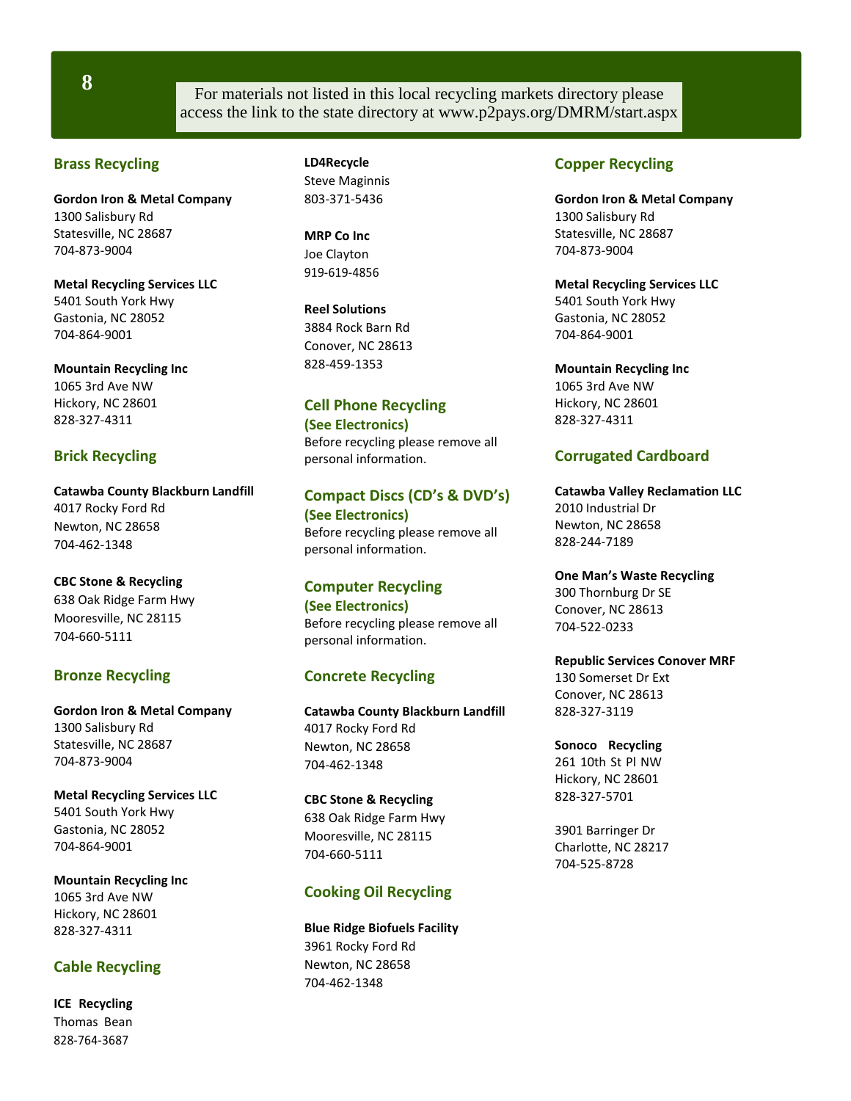**8**

For materials not listed in this local recycling markets directory please access the link to the state directory at [www.p2pays.org/DMRM/start.aspx](http://www.p2pays.org/DMRM/start.aspx)

## **Brass Recycling**

**Gordon Iron & Metal Company** 1300 Salisbury Rd Statesville, NC 28687 704-873-9004

**Metal Recycling Services LLC**  5401 South York Hwy Gastonia, NC 28052 704-864-9001

**Mountain Recycling Inc**  1065 3rd Ave NW Hickory, NC 28601 828-327-4311

## **Brick Recycling**

**Catawba County Blackburn Landfill** 4017 Rocky Ford Rd Newton, NC 28658 704-462-1348

**CBC Stone & Recycling**  638 Oak Ridge Farm Hwy Mooresville, NC 28115 704-660-5111

## **Bronze Recycling**

**Gordon Iron & Metal Company** 1300 Salisbury Rd Statesville, NC 28687 704-873-9004

**Metal Recycling Services LLC**  5401 South York Hwy Gastonia, NC 28052 704-864-9001

**Mountain Recycling Inc**  1065 3rd Ave NW Hickory, NC 28601 828-327-4311

## **Cable Recycling**

**ICE Recycling**  Thomas Bean 828-764-3687

**LD4Recycle**  Steve Maginnis 803-371-5436

**MRP Co Inc**  Joe Clayton 919-619-4856

**Reel Solutions**  3884 Rock Barn Rd Conover, NC 28613 828-459-1353

## **Cell Phone Recycling (See Electronics)**

Before recycling please remove all personal information.

## **Compact Discs (CD's & DVD's) (See Electronics)** Before recycling please remove all personal information.

**Computer Recycling (See Electronics)** Before recycling please remove all

## **Concrete Recycling**

personal information.

**Catawba County Blackburn Landfill** 4017 Rocky Ford Rd Newton, NC 28658 704-462-1348

**CBC Stone & Recycling**  638 Oak Ridge Farm Hwy Mooresville, NC 28115 704-660-5111

## **Cooking Oil Recycling**

**Blue Ridge Biofuels Facility**  3961 Rocky Ford Rd Newton, NC 28658 704-462-1348

## **Copper Recycling**

**Gordon Iron & Metal Company** 1300 Salisbury Rd Statesville, NC 28687 704-873-9004

**Metal Recycling Services LLC**  5401 South York Hwy Gastonia, NC 28052 704-864-9001

**Mountain Recycling Inc**  1065 3rd Ave NW Hickory, NC 28601 828-327-4311

## **Corrugated Cardboard**

**Catawba Valley Reclamation LLC** 2010 Industrial Dr Newton, NC 28658 828-244-7189

**One Man's Waste Recycling**  300 Thornburg Dr SE Conover, NC 28613 704-522-0233

**Republic Services Conover MRF** 130 Somerset Dr Ext Conover, NC 28613 828-327-3119

**Sonoco Recycling**  261 10th St Pl NW Hickory, NC 28601 828-327-5701

3901 Barringer Dr Charlotte, NC 28217 704-525-8728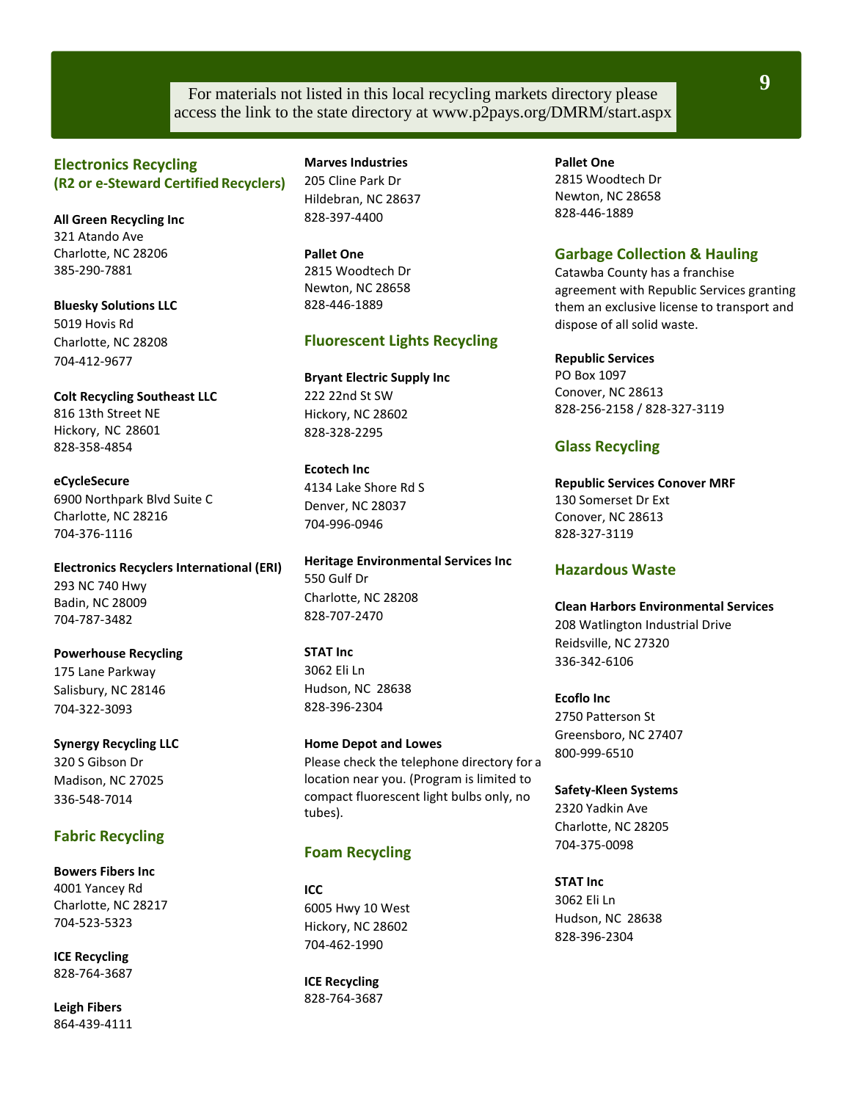## For materials not listed in this local recycling markets directory please access the link to the state directory at [www.p2pays.org/DMRM/start.aspx](http://www.p2pays.org/DMRM/start.aspx)

## **Electronics Recycling (R2 or e-Steward Certified Recyclers)**

**All Green Recycling Inc**  321 Atando Ave Charlotte, NC 28206 385-290-7881

**Bluesky Solutions LLC**  5019 Hovis Rd Charlotte, NC 28208 704-412-9677

**Colt Recycling Southeast LLC** 816 13th Street NE Hickory, NC 28601 828-358-4854

**eCycleSecure** 6900 Northpark Blvd Suite C Charlotte, NC 28216 704-376-1116

**Electronics Recyclers International (ERI)** 293 NC 740 Hwy Badin, NC 28009 704-787-3482

**Powerhouse Recycling**  175 Lane Parkway Salisbury, NC 28146 704-322-3093

**Synergy Recycling LLC**  320 S Gibson Dr Madison, NC 27025 336-548-7014

#### **Fabric Recycling**

**Bowers Fibers Inc**  4001 Yancey Rd Charlotte, NC 28217 704-523-5323

**ICE Recycling** 828-764-3687

**Leigh Fibers** 864-439-4111 **Marves Industries**  205 Cline Park Dr Hildebran, NC 28637 828-397-4400

**Pallet One** 2815 Woodtech Dr Newton, NC 28658 828-446-1889

#### **Fluorescent Lights Recycling**

**Bryant Electric Supply Inc** 222 22nd St SW Hickory, NC 28602 828-328-2295

**Ecotech Inc** 4134 Lake Shore Rd S Denver, NC 28037 704-996-0946

**Heritage Environmental Services Inc** 550 Gulf Dr Charlotte, NC 28208 828-707-2470

**STAT Inc** 3062 Eli Ln Hudson, NC 28638 828-396-2304

**Home Depot and Lowes** Please check the telephone directory for a location near you. (Program is limited to compact fluorescent light bulbs only, no tubes).

#### **Foam Recycling**

**ICC** 6005 Hwy 10 West Hickory, NC 28602 704-462-1990

**ICE Recycling** 828-764-3687 **Pallet One** 2815 Woodtech Dr Newton, NC 28658 828-446-1889

## **Garbage Collection & Hauling**

Catawba County has a franchise agreement with Republic Services granting them an exclusive license to transport and dispose of all solid waste.

**Republic Services**

PO Box 1097 Conover, NC 28613 828-256-2158 / 828-327-3119

#### **Glass Recycling**

**Republic Services Conover MRF** 130 Somerset Dr Ext Conover, NC 28613 828-327-3119

#### **Hazardous Waste**

**Clean Harbors Environmental Services**  208 Watlington Industrial Drive Reidsville, NC 27320 336-342-6106

**Ecoflo Inc** 2750 Patterson St Greensboro, NC 27407 800-999-6510

**Safety-Kleen Systems**  2320 Yadkin Ave Charlotte, NC 28205 704-375-0098

**STAT Inc** 3062 Eli Ln Hudson, NC 28638 828-396-2304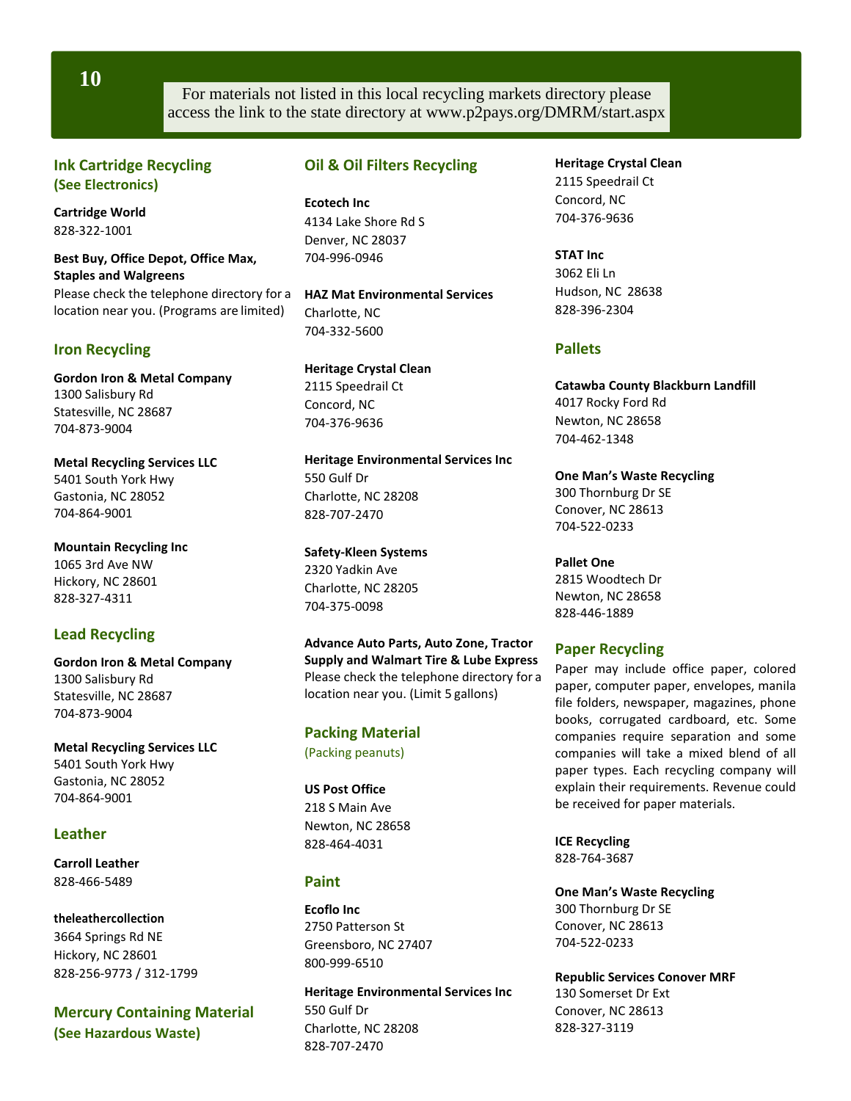**10**

For materials not listed in this local recycling markets directory please access the link to the state directory at [www.p2pays.org/DMRM/start.aspx](http://www.p2pays.org/DMRM/start.aspx)

## **Ink Cartridge Recycling (See Electronics)**

**Cartridge World** 828-322-1001

**Best Buy, Office Depot, Office Max, Staples and Walgreens** Please check the telephone directory for a location near you. (Programs are limited)

## **Iron Recycling**

**Gordon Iron & Metal Company** 1300 Salisbury Rd Statesville, NC 28687 704-873-9004

**Metal Recycling Services LLC**  5401 South York Hwy Gastonia, NC 28052 704-864-9001

**Mountain Recycling Inc**  1065 3rd Ave NW Hickory, NC 28601 828-327-4311

## **Lead Recycling**

**Gordon Iron & Metal Company** 1300 Salisbury Rd Statesville, NC 28687 704-873-9004

**Metal Recycling Services LLC**  5401 South York Hwy Gastonia, NC 28052 704-864-9001

## **Leather**

**Carroll Leather** 828-466-5489

**theleathercollection**  3664 Springs Rd NE Hickory, NC 28601 828-256-9773 / 312-1799

**Mercury Containing Material (See Hazardous Waste)**

## **Oil & Oil Filters Recycling**

**Ecotech Inc** 4134 Lake Shore Rd S Denver, NC 28037 704-996-0946

**HAZ Mat Environmental Services** Charlotte, NC 704-332-5600

**Heritage Crystal Clean**  2115 Speedrail Ct Concord, NC 704-376-9636

**Heritage Environmental Services Inc** 550 Gulf Dr Charlotte, NC 28208 828-707-2470

**Safety-Kleen Systems**  2320 Yadkin Ave Charlotte, NC 28205 704-375-0098

**Advance Auto Parts, Auto Zone, Tractor Supply and Walmart Tire & Lube Express**  Please check the telephone directory for a location near you. (Limit 5 gallons)

#### **Packing Material** (Packing peanuts)

## **US Post Office** 218 S Main Ave Newton, NC 28658 828-464-4031

## **Paint**

**Ecoflo Inc** 2750 Patterson St Greensboro, NC 27407 800-999-6510

**Heritage Environmental Services Inc** 550 Gulf Dr Charlotte, NC 28208 828-707-2470

**Heritage Crystal Clean**  2115 Speedrail Ct Concord, NC 704-376-9636

**STAT Inc** 3062 Eli Ln Hudson, NC 28638 828-396-2304

## **Pallets**

**Catawba County Blackburn Landfill** 4017 Rocky Ford Rd Newton, NC 28658 704-462-1348

**One Man's Waste Recycling** 300 Thornburg Dr SE Conover, NC 28613 704-522-0233

**Pallet One** 2815 Woodtech Dr Newton, NC 28658 828-446-1889

## **Paper Recycling**

Paper may include office paper, colored paper, computer paper, envelopes, manila file folders, newspaper, magazines, phone books, corrugated cardboard, etc. Some companies require separation and some companies will take a mixed blend of all paper types. Each recycling company will explain their requirements. Revenue could be received for paper materials.

**ICE Recycling** 828-764-3687

**One Man's Waste Recycling**  300 Thornburg Dr SE Conover, NC 28613 704-522-0233

**Republic Services Conover MRF** 130 Somerset Dr Ext Conover, NC 28613 828-327-3119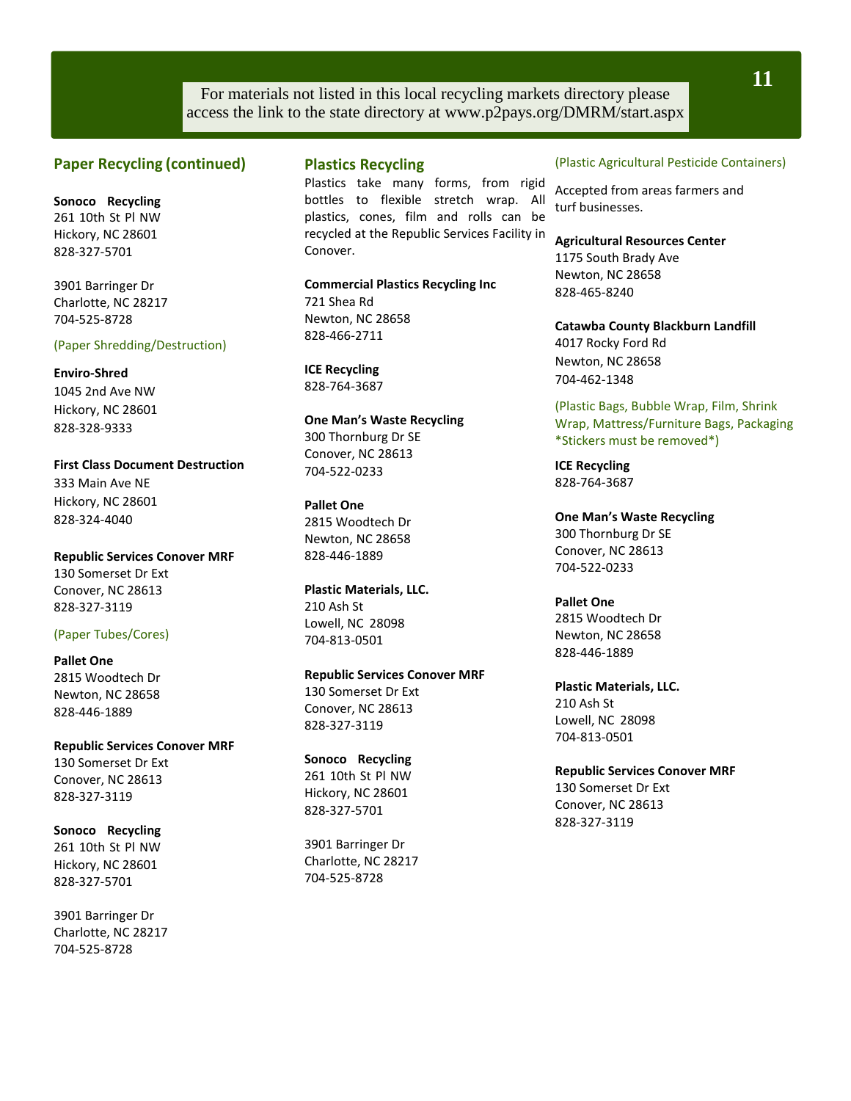For materials not listed in this local recycling markets directory please access the link to the state directory at [www.p2pays.org/DMRM/start.aspx](http://www.p2pays.org/DMRM/start.aspx)

### **Paper Recycling (continued)**

**Sonoco Recycling**  261 10th St Pl NW Hickory, NC 28601 828-327-5701

3901 Barringer Dr Charlotte, NC 28217 704-525-8728

#### (Paper Shredding/Destruction)

#### **Enviro-Shred**

1045 2nd Ave NW Hickory, NC 28601 828-328-9333

**First Class Document Destruction** 333 Main Ave NE Hickory, NC 28601 828-324-4040

**Republic Services Conover MRF** 130 Somerset Dr Ext Conover, NC 28613 828-327-3119

#### (Paper Tubes/Cores)

**Pallet One** 2815 Woodtech Dr Newton, NC 28658 828-446-1889

**Republic Services Conover MRF** 130 Somerset Dr Ext Conover, NC 28613 828-327-3119

**Sonoco Recycling**  261 10th St Pl NW Hickory, NC 28601 828-327-5701

3901 Barringer Dr Charlotte, NC 28217 704-525-8728

#### **Plastics Recycling**

Plastics take many forms, from rigid bottles to flexible stretch wrap. All plastics, cones, film and rolls can be recycled at the Republic Services Facility in Conover.

**Commercial Plastics Recycling Inc** 721 Shea Rd Newton, NC 28658 828-466-2711

**ICE Recycling** 828-764-3687

**One Man's Waste Recycling**  300 Thornburg Dr SE Conover, NC 28613 704-522-0233

**Pallet One** 2815 Woodtech Dr Newton, NC 28658 828-446-1889

**Plastic Materials, LLC.** 210 Ash St Lowell, NC 28098 704-813-0501

**Republic Services Conover MRF** 130 Somerset Dr Ext Conover, NC 28613 828-327-3119

**Sonoco Recycling**  261 10th St Pl NW Hickory, NC 28601 828-327-5701

3901 Barringer Dr Charlotte, NC 28217 704-525-8728

#### (Plastic Agricultural Pesticide Containers)

Accepted from areas farmers and turf businesses.

**Agricultural Resources Center**  1175 South Brady Ave Newton, NC 28658 828-465-8240

**Catawba County Blackburn Landfill** 4017 Rocky Ford Rd Newton, NC 28658 704-462-1348

(Plastic Bags, Bubble Wrap, Film, Shrink Wrap, Mattress/Furniture Bags, Packaging \*Stickers must be removed\*)

**ICE Recycling** 828-764-3687

**One Man's Waste Recycling**  300 Thornburg Dr SE Conover, NC 28613 704-522-0233

**Pallet One** 2815 Woodtech Dr Newton, NC 28658 828-446-1889

**Plastic Materials, LLC.** 210 Ash St Lowell, NC 28098 704-813-0501

**Republic Services Conover MRF** 130 Somerset Dr Ext Conover, NC 28613 828-327-3119